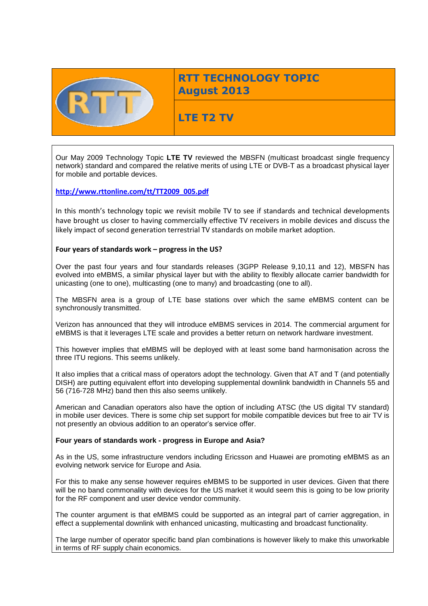

# **RTT TECHNOLOGY TOPIC August 2013**

# **LTE T2 TV**

Our May 2009 Technology Topic **LTE TV** reviewed the MBSFN (multicast broadcast single frequency network) standard and compared the relative merits of using LTE or DVB-T as a broadcast physical layer for mobile and portable devices.

## **[http://www.rttonline.com/tt/TT2009\\_005.pdf](http://www.rttonline.com/tt/TT2009_005.pdf)**

In this month's technology topic we revisit mobile TV to see if standards and technical developments have brought us closer to having commercially effective TV receivers in mobile devices and discuss the likely impact of second generation terrestrial TV standards on mobile market adoption.

## **Four years of standards work – progress in the US?**

Over the past four years and four standards releases (3GPP Release 9,10,11 and 12), MBSFN has evolved into eMBMS, a similar physical layer but with the ability to flexibly allocate carrier bandwidth for unicasting (one to one), multicasting (one to many) and broadcasting (one to all).

The MBSFN area is a group of LTE base stations over which the same eMBMS content can be synchronously transmitted.

Verizon has announced that they will introduce eMBMS services in 2014. The commercial argument for eMBMS is that it leverages LTE scale and provides a better return on network hardware investment.

This however implies that eMBMS will be deployed with at least some band harmonisation across the three ITU regions. This seems unlikely.

It also implies that a critical mass of operators adopt the technology. Given that AT and T (and potentially DISH) are putting equivalent effort into developing supplemental downlink bandwidth in Channels 55 and 56 (716-728 MHz) band then this also seems unlikely.

American and Canadian operators also have the option of including ATSC (the US digital TV standard) in mobile user devices. There is some chip set support for mobile compatible devices but free to air TV is not presently an obvious addition to an operator's service offer.

## **Four years of standards work - progress in Europe and Asia?**

As in the US, some infrastructure vendors including Ericsson and Huawei are promoting eMBMS as an evolving network service for Europe and Asia.

For this to make any sense however requires eMBMS to be supported in user devices. Given that there will be no band commonality with devices for the US market it would seem this is going to be low priority for the RF component and user device vendor community.

The counter argument is that eMBMS could be supported as an integral part of carrier aggregation, in effect a supplemental downlink with enhanced unicasting, multicasting and broadcast functionality.

The large number of operator specific band plan combinations is however likely to make this unworkable in terms of RF supply chain economics.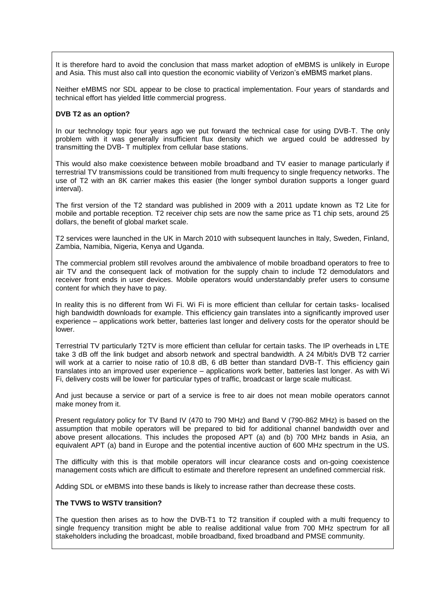It is therefore hard to avoid the conclusion that mass market adoption of eMBMS is unlikely in Europe and Asia. This must also call into question the economic viability of Verizon's eMBMS market plans.

Neither eMBMS nor SDL appear to be close to practical implementation. Four years of standards and technical effort has yielded little commercial progress.

### **DVB T2 as an option?**

In our technology topic four years ago we put forward the technical case for using DVB-T. The only problem with it was generally insufficient flux density which we argued could be addressed by transmitting the DVB- T multiplex from cellular base stations.

This would also make coexistence between mobile broadband and TV easier to manage particularly if terrestrial TV transmissions could be transitioned from multi frequency to single frequency networks. The use of T2 with an 8K carrier makes this easier (the longer symbol duration supports a longer guard interval).

The first version of the T2 standard was published in 2009 with a 2011 update known as T2 Lite for mobile and portable reception. T2 receiver chip sets are now the same price as T1 chip sets, around 25 dollars, the benefit of global market scale.

T2 services were launched in the UK in March 2010 with subsequent launches in Italy, Sweden, Finland, Zambia, Namibia, Nigeria, Kenya and Uganda.

The commercial problem still revolves around the ambivalence of mobile broadband operators to free to air TV and the consequent lack of motivation for the supply chain to include T2 demodulators and receiver front ends in user devices. Mobile operators would understandably prefer users to consume content for which they have to pay.

In reality this is no different from Wi Fi. Wi Fi is more efficient than cellular for certain tasks- localised high bandwidth downloads for example. This efficiency gain translates into a significantly improved user experience – applications work better, batteries last longer and delivery costs for the operator should be lower.

Terrestrial TV particularly T2TV is more efficient than cellular for certain tasks. The IP overheads in LTE take 3 dB off the link budget and absorb network and spectral bandwidth. A 24 M/bit/s DVB T2 carrier will work at a carrier to noise ratio of 10.8 dB, 6 dB better than standard DVB-T. This efficiency gain translates into an improved user experience – applications work better, batteries last longer. As with Wi Fi, delivery costs will be lower for particular types of traffic, broadcast or large scale multicast.

And just because a service or part of a service is free to air does not mean mobile operators cannot make money from it.

Present regulatory policy for TV Band IV (470 to 790 MHz) and Band V (790-862 MHz) is based on the assumption that mobile operators will be prepared to bid for additional channel bandwidth over and above present allocations. This includes the proposed APT (a) and (b) 700 MHz bands in Asia, an equivalent APT (a) band in Europe and the potential incentive auction of 600 MHz spectrum in the US.

The difficulty with this is that mobile operators will incur clearance costs and on-going coexistence management costs which are difficult to estimate and therefore represent an undefined commercial risk.

Adding SDL or eMBMS into these bands is likely to increase rather than decrease these costs.

#### **The TVWS to WSTV transition?**

The question then arises as to how the DVB-T1 to T2 transition if coupled with a multi frequency to single frequency transition might be able to realise additional value from 700 MHz spectrum for all stakeholders including the broadcast, mobile broadband, fixed broadband and PMSE community.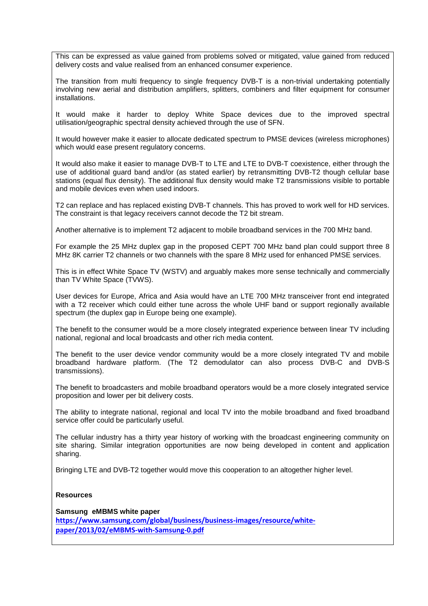This can be expressed as value gained from problems solved or mitigated, value gained from reduced delivery costs and value realised from an enhanced consumer experience.

The transition from multi frequency to single frequency DVB-T is a non-trivial undertaking potentially involving new aerial and distribution amplifiers, splitters, combiners and filter equipment for consumer installations.

It would make it harder to deploy White Space devices due to the improved spectral utilisation/geographic spectral density achieved through the use of SFN.

It would however make it easier to allocate dedicated spectrum to PMSE devices (wireless microphones) which would ease present regulatory concerns.

It would also make it easier to manage DVB-T to LTE and LTE to DVB-T coexistence, either through the use of additional guard band and/or (as stated earlier) by retransmitting DVB-T2 though cellular base stations (equal flux density). The additional flux density would make T2 transmissions visible to portable and mobile devices even when used indoors.

T2 can replace and has replaced existing DVB-T channels. This has proved to work well for HD services. The constraint is that legacy receivers cannot decode the T2 bit stream.

Another alternative is to implement T2 adjacent to mobile broadband services in the 700 MHz band.

For example the 25 MHz duplex gap in the proposed CEPT 700 MHz band plan could support three 8 MHz 8K carrier T2 channels or two channels with the spare 8 MHz used for enhanced PMSE services.

This is in effect White Space TV (WSTV) and arguably makes more sense technically and commercially than TV White Space (TVWS).

User devices for Europe, Africa and Asia would have an LTE 700 MHz transceiver front end integrated with a T2 receiver which could either tune across the whole UHF band or support regionally available spectrum (the duplex gap in Europe being one example).

The benefit to the consumer would be a more closely integrated experience between linear TV including national, regional and local broadcasts and other rich media content.

The benefit to the user device vendor community would be a more closely integrated TV and mobile broadband hardware platform. (The T2 demodulator can also process DVB-C and DVB-S transmissions).

The benefit to broadcasters and mobile broadband operators would be a more closely integrated service proposition and lower per bit delivery costs.

The ability to integrate national, regional and local TV into the mobile broadband and fixed broadband service offer could be particularly useful.

The cellular industry has a thirty year history of working with the broadcast engineering community on site sharing. Similar integration opportunities are now being developed in content and application sharing.

Bringing LTE and DVB-T2 together would move this cooperation to an altogether higher level.

#### **Resources**

**Samsung eMBMS white paper [https://www.samsung.com/global/business/business-images/resource/white](https://www.samsung.com/global/business/business-images/resource/white-paper/2013/02/eMBMS-with-Samsung-0.pdf)[paper/2013/02/eMBMS-with-Samsung-0.pdf](https://www.samsung.com/global/business/business-images/resource/white-paper/2013/02/eMBMS-with-Samsung-0.pdf)**